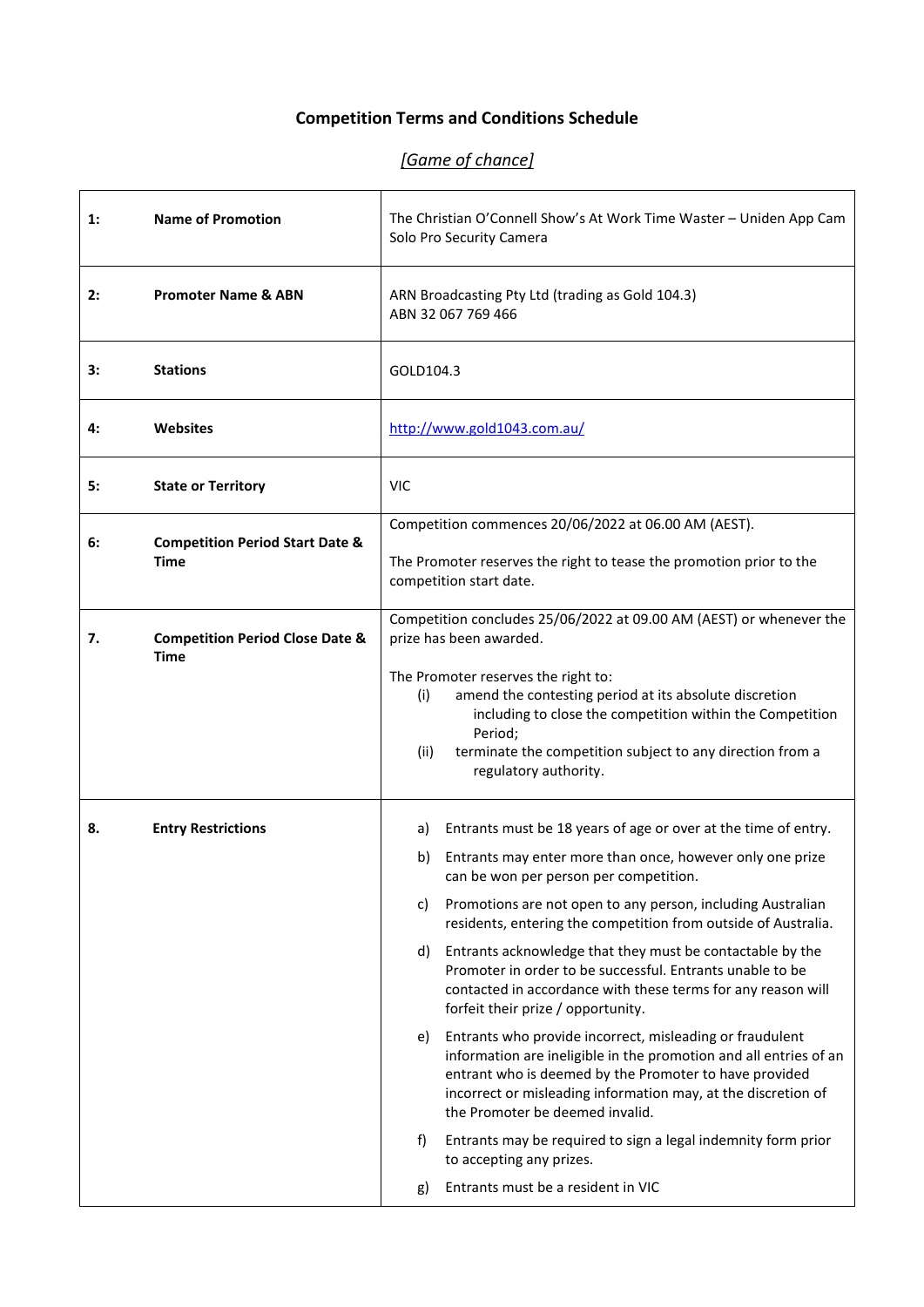## **Competition Terms and Conditions Schedule**

## *[Game of chance]*

| $\mathbf{1}$ : | <b>Name of Promotion</b>                                  | The Christian O'Connell Show's At Work Time Waster - Uniden App Cam<br>Solo Pro Security Camera                                                                                                                                                                                                   |  |
|----------------|-----------------------------------------------------------|---------------------------------------------------------------------------------------------------------------------------------------------------------------------------------------------------------------------------------------------------------------------------------------------------|--|
| 2:             | <b>Promoter Name &amp; ABN</b>                            | ARN Broadcasting Pty Ltd (trading as Gold 104.3)<br>ABN 32 067 769 466                                                                                                                                                                                                                            |  |
| 3:             | <b>Stations</b>                                           | GOLD104.3                                                                                                                                                                                                                                                                                         |  |
| 4:             | <b>Websites</b>                                           | http://www.gold1043.com.au/                                                                                                                                                                                                                                                                       |  |
| 5:             | <b>State or Territory</b>                                 | <b>VIC</b>                                                                                                                                                                                                                                                                                        |  |
|                |                                                           | Competition commences 20/06/2022 at 06.00 AM (AEST).                                                                                                                                                                                                                                              |  |
| 6:             | <b>Competition Period Start Date &amp;</b><br><b>Time</b> | The Promoter reserves the right to tease the promotion prior to the<br>competition start date.                                                                                                                                                                                                    |  |
| 7.             | <b>Competition Period Close Date &amp;</b><br>Time        | Competition concludes 25/06/2022 at 09.00 AM (AEST) or whenever the<br>prize has been awarded.                                                                                                                                                                                                    |  |
|                |                                                           | The Promoter reserves the right to:<br>amend the contesting period at its absolute discretion<br>(i)                                                                                                                                                                                              |  |
|                |                                                           | including to close the competition within the Competition<br>Period;                                                                                                                                                                                                                              |  |
|                |                                                           | (ii)<br>terminate the competition subject to any direction from a<br>regulatory authority.                                                                                                                                                                                                        |  |
| 8.             | <b>Entry Restrictions</b>                                 | Entrants must be 18 years of age or over at the time of entry.<br>a)                                                                                                                                                                                                                              |  |
|                |                                                           | Entrants may enter more than once, however only one prize<br>b)<br>can be won per person per competition.                                                                                                                                                                                         |  |
|                |                                                           | Promotions are not open to any person, including Australian<br>c)<br>residents, entering the competition from outside of Australia.                                                                                                                                                               |  |
|                |                                                           | Entrants acknowledge that they must be contactable by the<br>d)<br>Promoter in order to be successful. Entrants unable to be<br>contacted in accordance with these terms for any reason will<br>forfeit their prize / opportunity.                                                                |  |
|                |                                                           | Entrants who provide incorrect, misleading or fraudulent<br>e)<br>information are ineligible in the promotion and all entries of an<br>entrant who is deemed by the Promoter to have provided<br>incorrect or misleading information may, at the discretion of<br>the Promoter be deemed invalid. |  |
|                |                                                           | f)<br>Entrants may be required to sign a legal indemnity form prior<br>to accepting any prizes.                                                                                                                                                                                                   |  |
|                |                                                           | Entrants must be a resident in VIC<br>g)                                                                                                                                                                                                                                                          |  |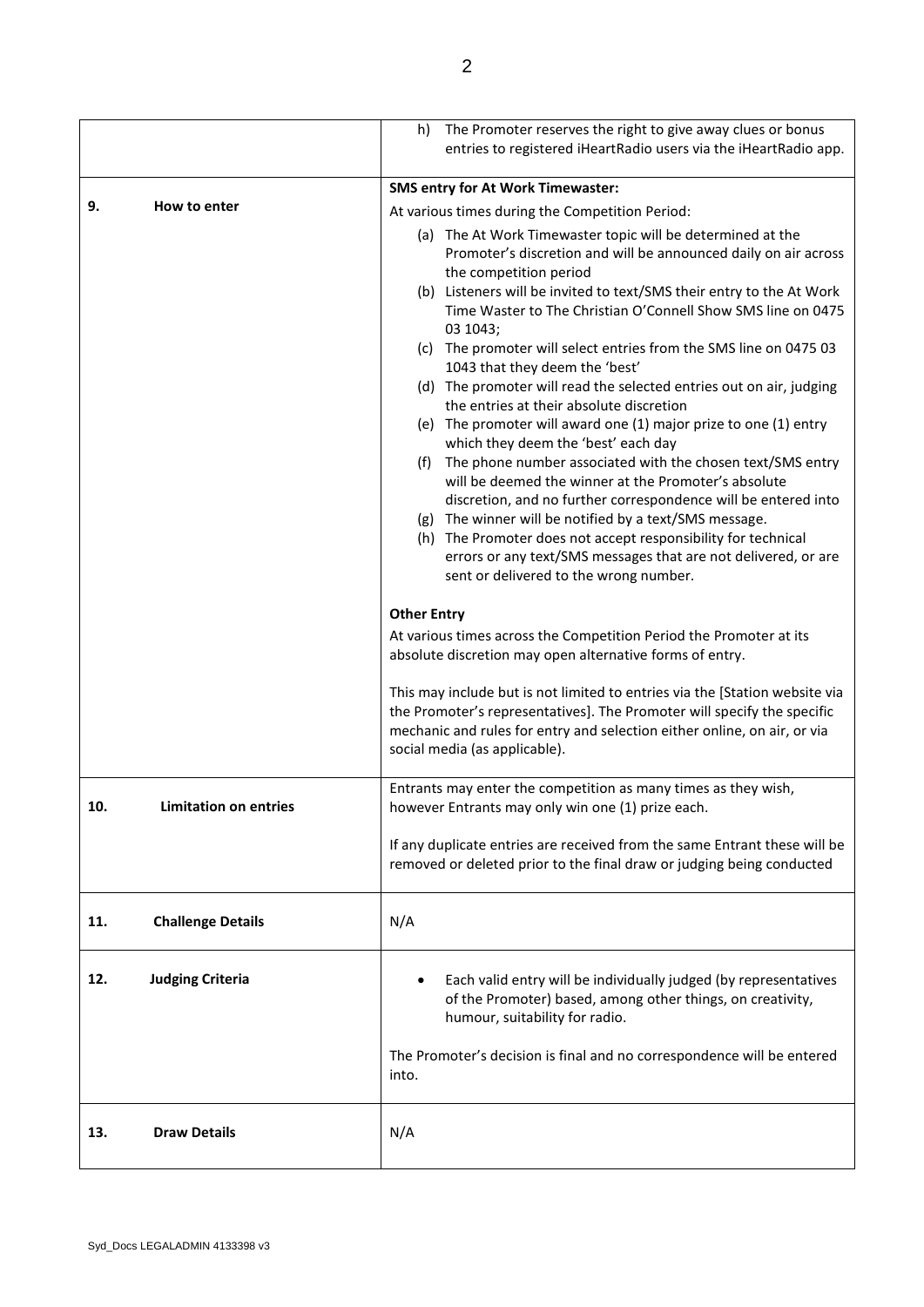|     |                              | h)                 | The Promoter reserves the right to give away clues or bonus<br>entries to registered iHeartRadio users via the iHeartRadio app.                                                                                                                                                                                                                                                                                                 |
|-----|------------------------------|--------------------|---------------------------------------------------------------------------------------------------------------------------------------------------------------------------------------------------------------------------------------------------------------------------------------------------------------------------------------------------------------------------------------------------------------------------------|
|     |                              |                    | <b>SMS entry for At Work Timewaster:</b>                                                                                                                                                                                                                                                                                                                                                                                        |
| 9.  | How to enter                 |                    | At various times during the Competition Period:                                                                                                                                                                                                                                                                                                                                                                                 |
|     |                              |                    | (a) The At Work Timewaster topic will be determined at the<br>Promoter's discretion and will be announced daily on air across<br>the competition period<br>(b) Listeners will be invited to text/SMS their entry to the At Work<br>Time Waster to The Christian O'Connell Show SMS line on 0475                                                                                                                                 |
|     |                              |                    | 03 1043;                                                                                                                                                                                                                                                                                                                                                                                                                        |
|     |                              |                    | (c) The promoter will select entries from the SMS line on 0475 03<br>1043 that they deem the 'best'                                                                                                                                                                                                                                                                                                                             |
|     |                              |                    | (d) The promoter will read the selected entries out on air, judging<br>the entries at their absolute discretion                                                                                                                                                                                                                                                                                                                 |
|     |                              |                    | (e) The promoter will award one (1) major prize to one (1) entry<br>which they deem the 'best' each day                                                                                                                                                                                                                                                                                                                         |
|     |                              |                    | (f) The phone number associated with the chosen text/SMS entry<br>will be deemed the winner at the Promoter's absolute<br>discretion, and no further correspondence will be entered into<br>(g) The winner will be notified by a text/SMS message.<br>(h) The Promoter does not accept responsibility for technical<br>errors or any text/SMS messages that are not delivered, or are<br>sent or delivered to the wrong number. |
|     |                              | <b>Other Entry</b> |                                                                                                                                                                                                                                                                                                                                                                                                                                 |
|     |                              |                    | At various times across the Competition Period the Promoter at its<br>absolute discretion may open alternative forms of entry.                                                                                                                                                                                                                                                                                                  |
|     |                              |                    | This may include but is not limited to entries via the [Station website via<br>the Promoter's representatives]. The Promoter will specify the specific<br>mechanic and rules for entry and selection either online, on air, or via<br>social media (as applicable).                                                                                                                                                             |
| 10. | <b>Limitation on entries</b> |                    | Entrants may enter the competition as many times as they wish,<br>however Entrants may only win one (1) prize each.                                                                                                                                                                                                                                                                                                             |
|     |                              |                    | If any duplicate entries are received from the same Entrant these will be<br>removed or deleted prior to the final draw or judging being conducted                                                                                                                                                                                                                                                                              |
| 11. | <b>Challenge Details</b>     | N/A                |                                                                                                                                                                                                                                                                                                                                                                                                                                 |
| 12. | <b>Judging Criteria</b>      |                    | Each valid entry will be individually judged (by representatives<br>of the Promoter) based, among other things, on creativity,<br>humour, suitability for radio.                                                                                                                                                                                                                                                                |
|     |                              | into.              | The Promoter's decision is final and no correspondence will be entered                                                                                                                                                                                                                                                                                                                                                          |
| 13. | <b>Draw Details</b>          | N/A                |                                                                                                                                                                                                                                                                                                                                                                                                                                 |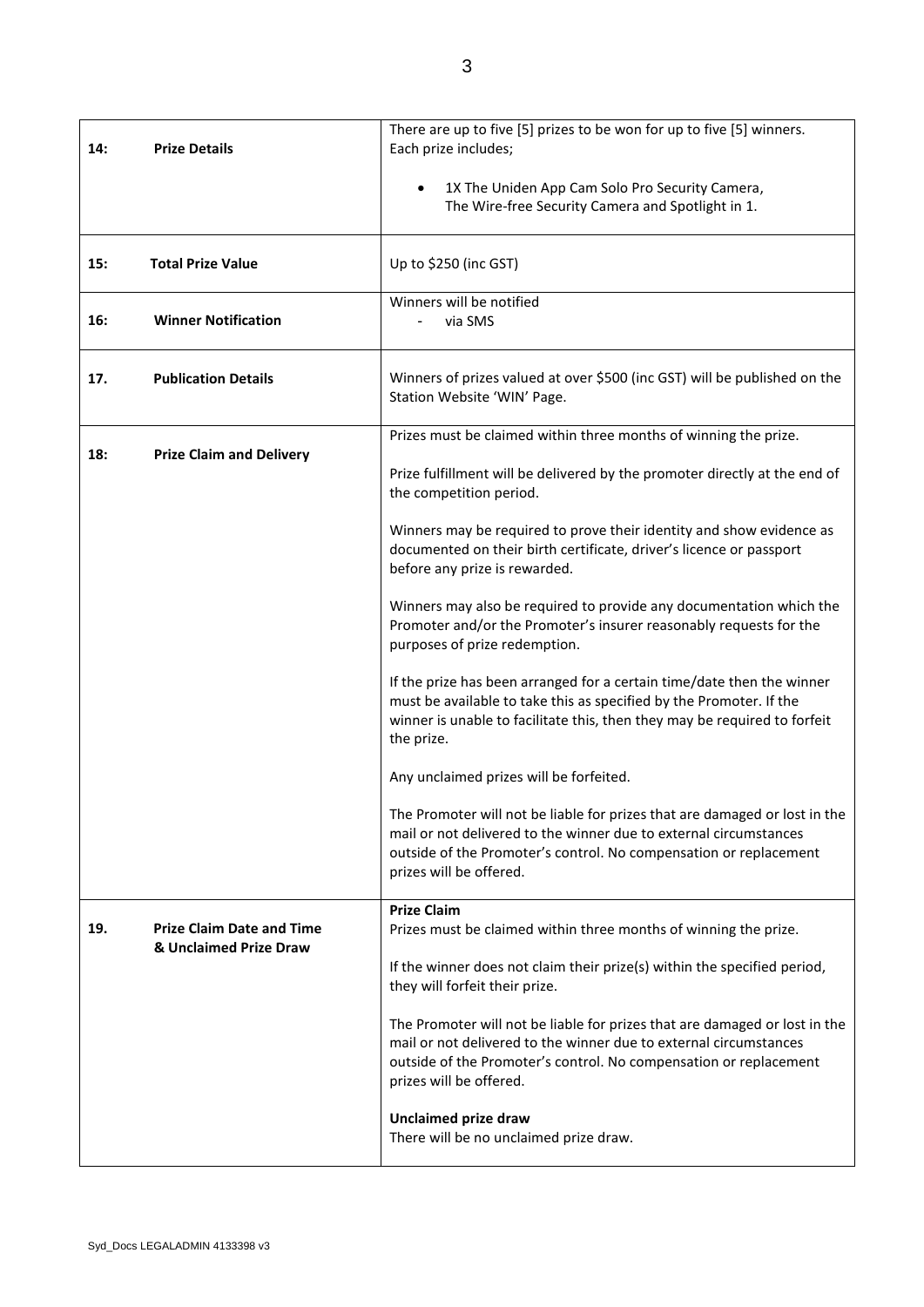| 14: | <b>Prize Details</b>                                       | There are up to five [5] prizes to be won for up to five [5] winners.<br>Each prize includes;                                                                                                                                                   |
|-----|------------------------------------------------------------|-------------------------------------------------------------------------------------------------------------------------------------------------------------------------------------------------------------------------------------------------|
|     |                                                            | 1X The Uniden App Cam Solo Pro Security Camera,<br>٠<br>The Wire-free Security Camera and Spotlight in 1.                                                                                                                                       |
| 15: | <b>Total Prize Value</b>                                   | Up to \$250 (inc GST)                                                                                                                                                                                                                           |
| 16: | <b>Winner Notification</b>                                 | Winners will be notified<br>via SMS                                                                                                                                                                                                             |
| 17. | <b>Publication Details</b>                                 | Winners of prizes valued at over \$500 (inc GST) will be published on the<br>Station Website 'WIN' Page.                                                                                                                                        |
|     |                                                            | Prizes must be claimed within three months of winning the prize.                                                                                                                                                                                |
| 18: | <b>Prize Claim and Delivery</b>                            | Prize fulfillment will be delivered by the promoter directly at the end of<br>the competition period.                                                                                                                                           |
|     |                                                            | Winners may be required to prove their identity and show evidence as<br>documented on their birth certificate, driver's licence or passport<br>before any prize is rewarded.                                                                    |
|     |                                                            | Winners may also be required to provide any documentation which the<br>Promoter and/or the Promoter's insurer reasonably requests for the<br>purposes of prize redemption.                                                                      |
|     |                                                            | If the prize has been arranged for a certain time/date then the winner<br>must be available to take this as specified by the Promoter. If the<br>winner is unable to facilitate this, then they may be required to forfeit<br>the prize.        |
|     |                                                            | Any unclaimed prizes will be forfeited.                                                                                                                                                                                                         |
|     |                                                            | The Promoter will not be liable for prizes that are damaged or lost in the<br>mail or not delivered to the winner due to external circumstances<br>outside of the Promoter's control. No compensation or replacement<br>prizes will be offered. |
| 19. | <b>Prize Claim Date and Time</b><br>& Unclaimed Prize Draw | <b>Prize Claim</b><br>Prizes must be claimed within three months of winning the prize.                                                                                                                                                          |
|     |                                                            | If the winner does not claim their prize(s) within the specified period,<br>they will forfeit their prize.                                                                                                                                      |
|     |                                                            | The Promoter will not be liable for prizes that are damaged or lost in the<br>mail or not delivered to the winner due to external circumstances<br>outside of the Promoter's control. No compensation or replacement<br>prizes will be offered. |
|     |                                                            | <b>Unclaimed prize draw</b><br>There will be no unclaimed prize draw.                                                                                                                                                                           |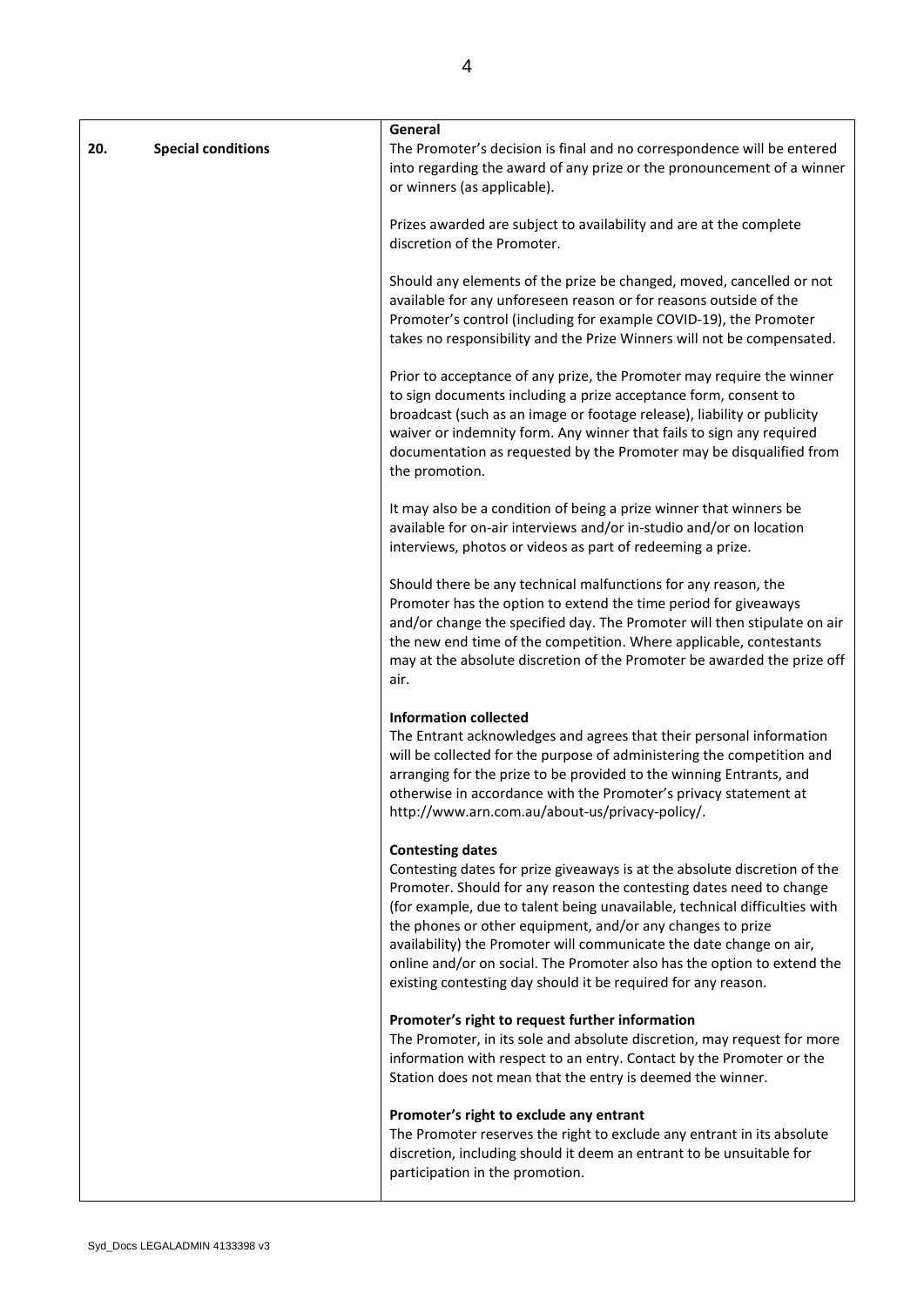| 20. | <b>Special conditions</b> | General<br>The Promoter's decision is final and no correspondence will be entered<br>into regarding the award of any prize or the pronouncement of a winner<br>or winners (as applicable).                                                                                                                                                                                                                                                                                                                                                 |
|-----|---------------------------|--------------------------------------------------------------------------------------------------------------------------------------------------------------------------------------------------------------------------------------------------------------------------------------------------------------------------------------------------------------------------------------------------------------------------------------------------------------------------------------------------------------------------------------------|
|     |                           | Prizes awarded are subject to availability and are at the complete<br>discretion of the Promoter.                                                                                                                                                                                                                                                                                                                                                                                                                                          |
|     |                           | Should any elements of the prize be changed, moved, cancelled or not<br>available for any unforeseen reason or for reasons outside of the<br>Promoter's control (including for example COVID-19), the Promoter<br>takes no responsibility and the Prize Winners will not be compensated.                                                                                                                                                                                                                                                   |
|     |                           | Prior to acceptance of any prize, the Promoter may require the winner<br>to sign documents including a prize acceptance form, consent to<br>broadcast (such as an image or footage release), liability or publicity<br>waiver or indemnity form. Any winner that fails to sign any required<br>documentation as requested by the Promoter may be disqualified from<br>the promotion.                                                                                                                                                       |
|     |                           | It may also be a condition of being a prize winner that winners be<br>available for on-air interviews and/or in-studio and/or on location<br>interviews, photos or videos as part of redeeming a prize.                                                                                                                                                                                                                                                                                                                                    |
|     |                           | Should there be any technical malfunctions for any reason, the<br>Promoter has the option to extend the time period for giveaways<br>and/or change the specified day. The Promoter will then stipulate on air<br>the new end time of the competition. Where applicable, contestants<br>may at the absolute discretion of the Promoter be awarded the prize off<br>air.                                                                                                                                                                     |
|     |                           | <b>Information collected</b><br>The Entrant acknowledges and agrees that their personal information<br>will be collected for the purpose of administering the competition and<br>arranging for the prize to be provided to the winning Entrants, and<br>otherwise in accordance with the Promoter's privacy statement at<br>http://www.arn.com.au/about-us/privacy-policy/.                                                                                                                                                                |
|     |                           | <b>Contesting dates</b><br>Contesting dates for prize giveaways is at the absolute discretion of the<br>Promoter. Should for any reason the contesting dates need to change<br>(for example, due to talent being unavailable, technical difficulties with<br>the phones or other equipment, and/or any changes to prize<br>availability) the Promoter will communicate the date change on air,<br>online and/or on social. The Promoter also has the option to extend the<br>existing contesting day should it be required for any reason. |
|     |                           | Promoter's right to request further information<br>The Promoter, in its sole and absolute discretion, may request for more<br>information with respect to an entry. Contact by the Promoter or the<br>Station does not mean that the entry is deemed the winner.                                                                                                                                                                                                                                                                           |
|     |                           | Promoter's right to exclude any entrant<br>The Promoter reserves the right to exclude any entrant in its absolute<br>discretion, including should it deem an entrant to be unsuitable for<br>participation in the promotion.                                                                                                                                                                                                                                                                                                               |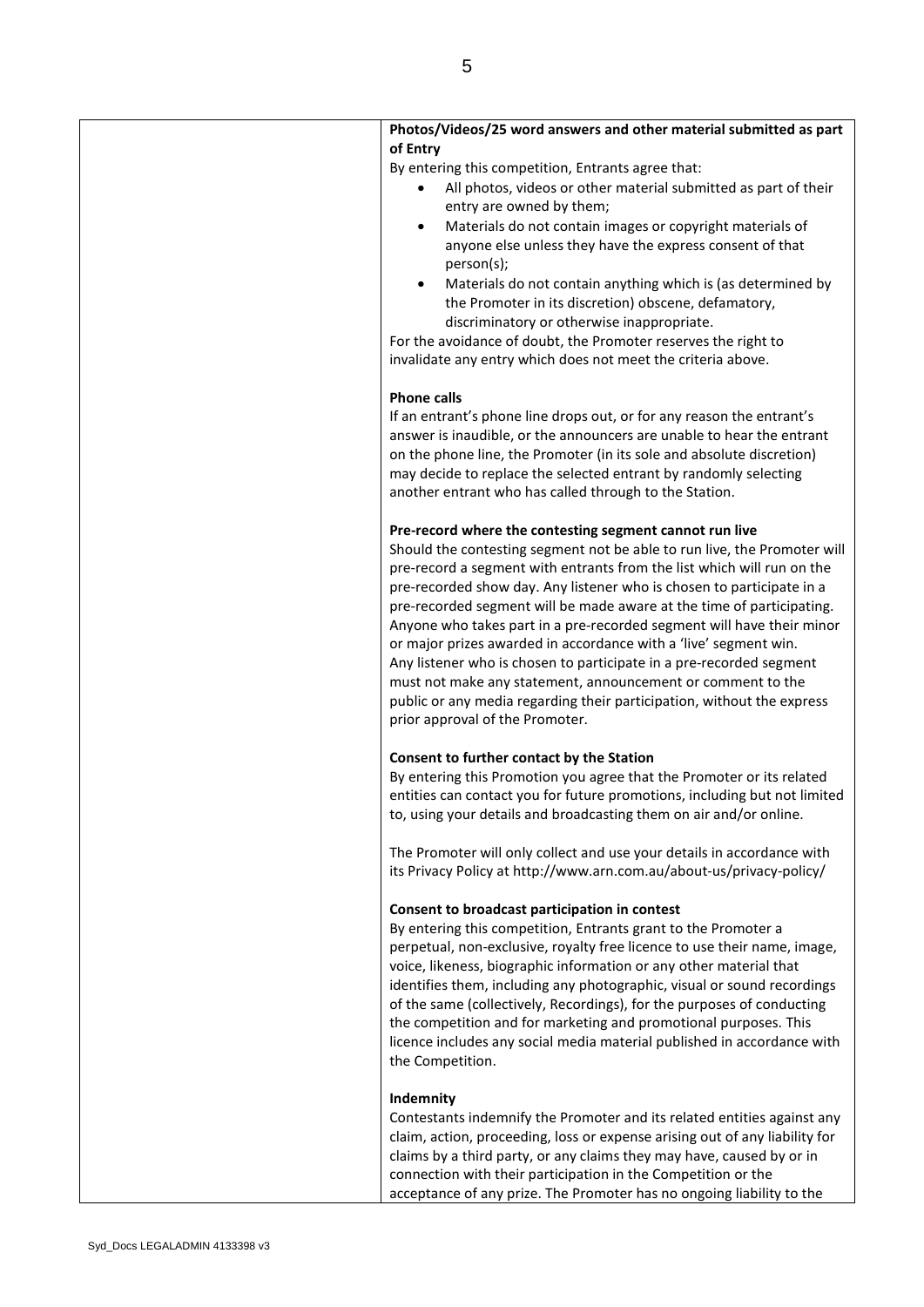| Photos/Videos/25 word answers and other material submitted as part<br>of Entry              |
|---------------------------------------------------------------------------------------------|
| By entering this competition, Entrants agree that:                                          |
| All photos, videos or other material submitted as part of their<br>entry are owned by them; |
| Materials do not contain images or copyright materials of<br>$\bullet$                      |
| anyone else unless they have the express consent of that                                    |
| person(s);                                                                                  |
| Materials do not contain anything which is (as determined by                                |
| the Promoter in its discretion) obscene, defamatory,                                        |
| discriminatory or otherwise inappropriate.                                                  |
| For the avoidance of doubt, the Promoter reserves the right to                              |
| invalidate any entry which does not meet the criteria above.                                |
|                                                                                             |
| <b>Phone calls</b>                                                                          |
| If an entrant's phone line drops out, or for any reason the entrant's                       |
| answer is inaudible, or the announcers are unable to hear the entrant                       |
| on the phone line, the Promoter (in its sole and absolute discretion)                       |
| may decide to replace the selected entrant by randomly selecting                            |
| another entrant who has called through to the Station.                                      |
|                                                                                             |
| Pre-record where the contesting segment cannot run live                                     |
| Should the contesting segment not be able to run live, the Promoter will                    |
| pre-record a segment with entrants from the list which will run on the                      |
| pre-recorded show day. Any listener who is chosen to participate in a                       |
| pre-recorded segment will be made aware at the time of participating.                       |
| Anyone who takes part in a pre-recorded segment will have their minor                       |
| or major prizes awarded in accordance with a 'live' segment win.                            |
| Any listener who is chosen to participate in a pre-recorded segment                         |
| must not make any statement, announcement or comment to the                                 |
| public or any media regarding their participation, without the express                      |
| prior approval of the Promoter.                                                             |
| Consent to further contact by the Station                                                   |
| By entering this Promotion you agree that the Promoter or its related                       |
| entities can contact you for future promotions, including but not limited                   |
| to, using your details and broadcasting them on air and/or online.                          |
|                                                                                             |
| The Promoter will only collect and use your details in accordance with                      |
| its Privacy Policy at http://www.arn.com.au/about-us/privacy-policy/                        |
| Consent to broadcast participation in contest                                               |
| By entering this competition, Entrants grant to the Promoter a                              |
| perpetual, non-exclusive, royalty free licence to use their name, image,                    |
| voice, likeness, biographic information or any other material that                          |
| identifies them, including any photographic, visual or sound recordings                     |
| of the same (collectively, Recordings), for the purposes of conducting                      |
| the competition and for marketing and promotional purposes. This                            |
| licence includes any social media material published in accordance with                     |
| the Competition.                                                                            |
|                                                                                             |
| Indemnity                                                                                   |
| Contestants indemnify the Promoter and its related entities against any                     |
| claim, action, proceeding, loss or expense arising out of any liability for                 |
| claims by a third party, or any claims they may have, caused by or in                       |
| connection with their participation in the Competition or the                               |
| acceptance of any prize. The Promoter has no ongoing liability to the                       |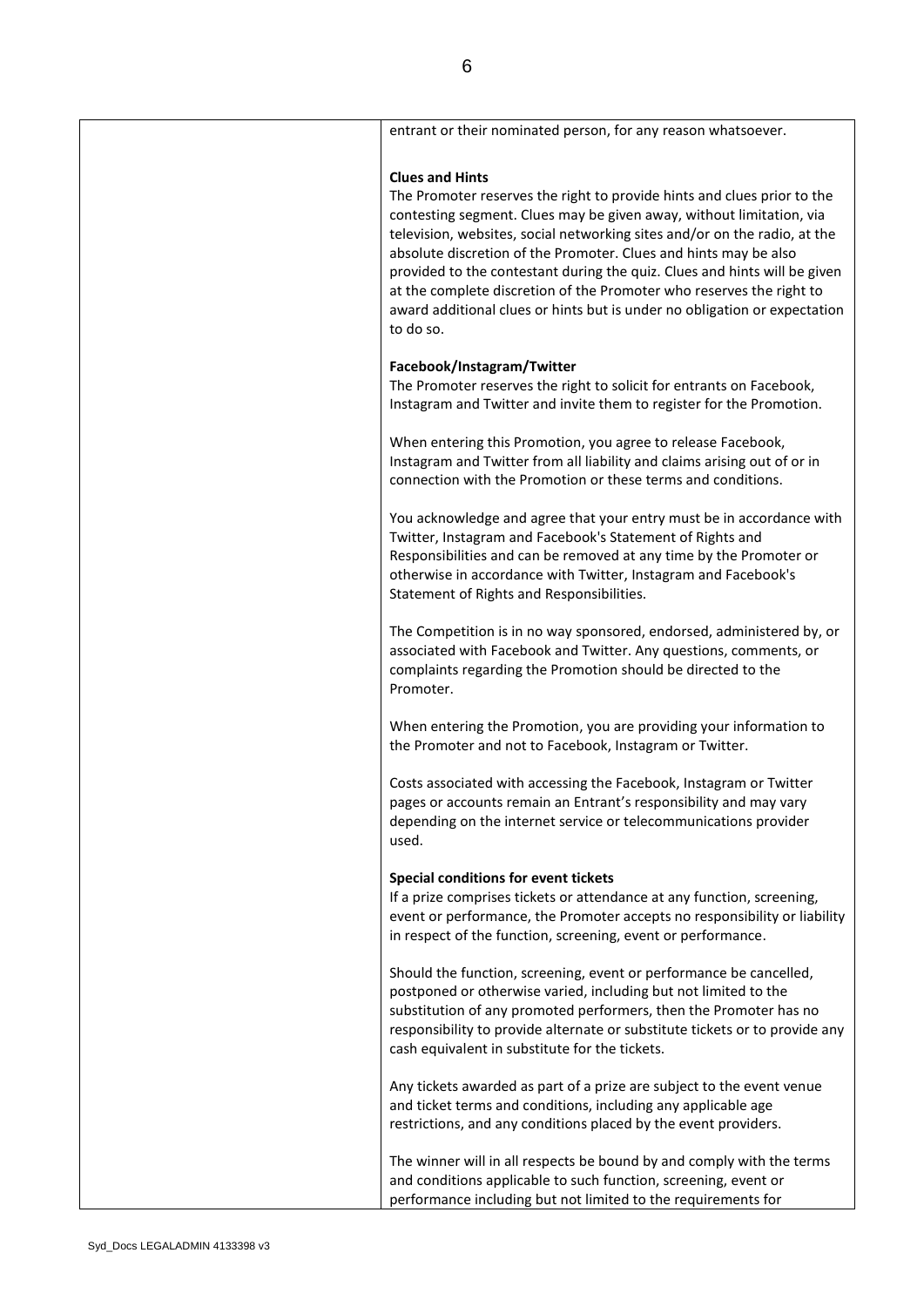| entrant or their nominated person, for any reason whatsoever.                                                                                                                                                                                                                                                                                                                                                                                                                                                                                                             |
|---------------------------------------------------------------------------------------------------------------------------------------------------------------------------------------------------------------------------------------------------------------------------------------------------------------------------------------------------------------------------------------------------------------------------------------------------------------------------------------------------------------------------------------------------------------------------|
| <b>Clues and Hints</b><br>The Promoter reserves the right to provide hints and clues prior to the<br>contesting segment. Clues may be given away, without limitation, via<br>television, websites, social networking sites and/or on the radio, at the<br>absolute discretion of the Promoter. Clues and hints may be also<br>provided to the contestant during the quiz. Clues and hints will be given<br>at the complete discretion of the Promoter who reserves the right to<br>award additional clues or hints but is under no obligation or expectation<br>to do so. |
| Facebook/Instagram/Twitter<br>The Promoter reserves the right to solicit for entrants on Facebook,<br>Instagram and Twitter and invite them to register for the Promotion.                                                                                                                                                                                                                                                                                                                                                                                                |
| When entering this Promotion, you agree to release Facebook,<br>Instagram and Twitter from all liability and claims arising out of or in<br>connection with the Promotion or these terms and conditions.                                                                                                                                                                                                                                                                                                                                                                  |
| You acknowledge and agree that your entry must be in accordance with<br>Twitter, Instagram and Facebook's Statement of Rights and<br>Responsibilities and can be removed at any time by the Promoter or<br>otherwise in accordance with Twitter, Instagram and Facebook's<br>Statement of Rights and Responsibilities.                                                                                                                                                                                                                                                    |
| The Competition is in no way sponsored, endorsed, administered by, or<br>associated with Facebook and Twitter. Any questions, comments, or<br>complaints regarding the Promotion should be directed to the<br>Promoter.                                                                                                                                                                                                                                                                                                                                                   |
| When entering the Promotion, you are providing your information to<br>the Promoter and not to Facebook, Instagram or Twitter.                                                                                                                                                                                                                                                                                                                                                                                                                                             |
| Costs associated with accessing the Facebook, Instagram or Twitter<br>pages or accounts remain an Entrant's responsibility and may vary<br>depending on the internet service or telecommunications provider<br>used.                                                                                                                                                                                                                                                                                                                                                      |
| Special conditions for event tickets<br>If a prize comprises tickets or attendance at any function, screening,<br>event or performance, the Promoter accepts no responsibility or liability<br>in respect of the function, screening, event or performance.                                                                                                                                                                                                                                                                                                               |
| Should the function, screening, event or performance be cancelled,<br>postponed or otherwise varied, including but not limited to the<br>substitution of any promoted performers, then the Promoter has no<br>responsibility to provide alternate or substitute tickets or to provide any<br>cash equivalent in substitute for the tickets.                                                                                                                                                                                                                               |
| Any tickets awarded as part of a prize are subject to the event venue<br>and ticket terms and conditions, including any applicable age<br>restrictions, and any conditions placed by the event providers.                                                                                                                                                                                                                                                                                                                                                                 |
| The winner will in all respects be bound by and comply with the terms<br>and conditions applicable to such function, screening, event or<br>performance including but not limited to the requirements for                                                                                                                                                                                                                                                                                                                                                                 |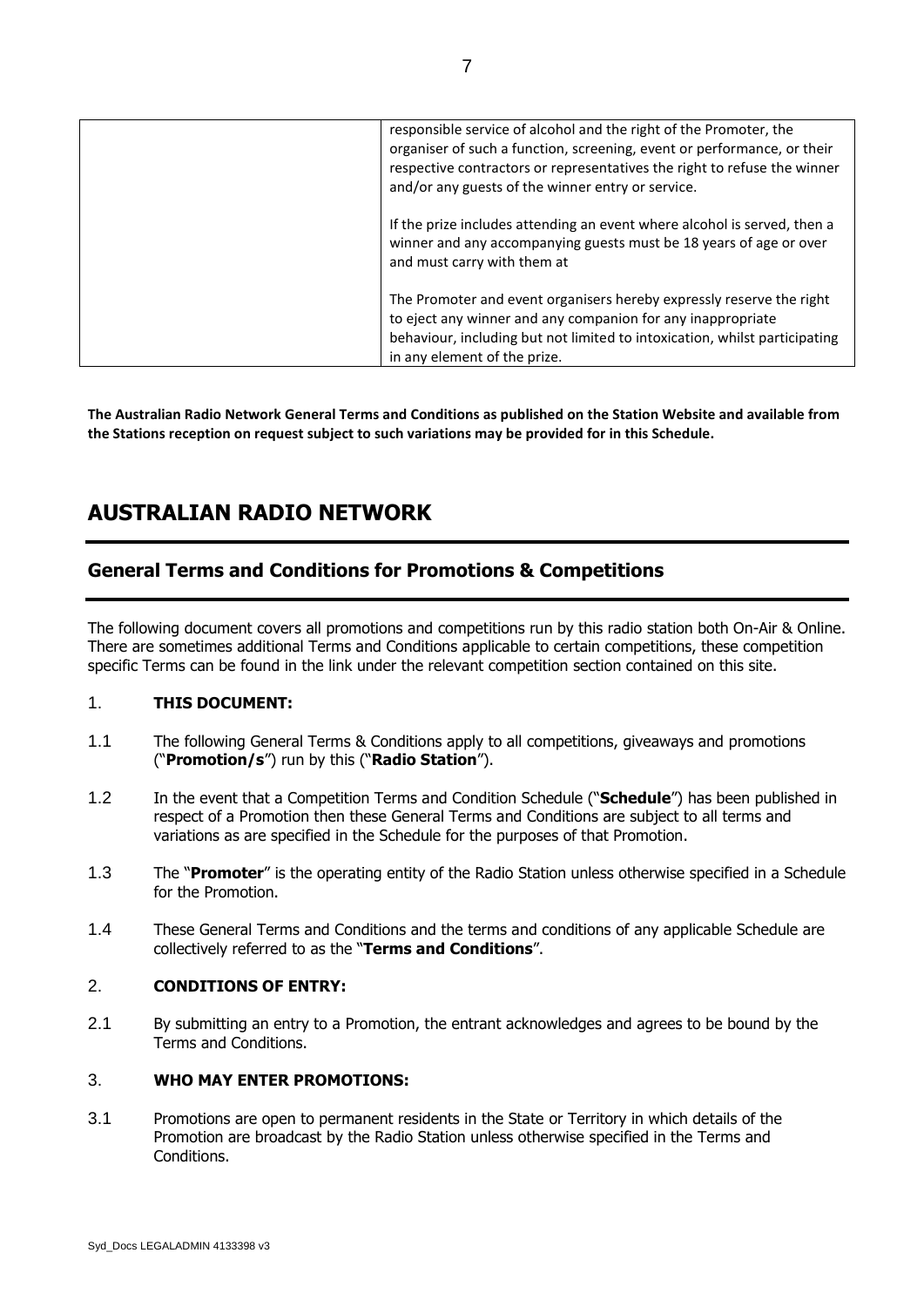| responsible service of alcohol and the right of the Promoter, the<br>organiser of such a function, screening, event or performance, or their<br>respective contractors or representatives the right to refuse the winner<br>and/or any guests of the winner entry or service. |
|-------------------------------------------------------------------------------------------------------------------------------------------------------------------------------------------------------------------------------------------------------------------------------|
| If the prize includes attending an event where alcohol is served, then a<br>winner and any accompanying guests must be 18 years of age or over<br>and must carry with them at                                                                                                 |
| The Promoter and event organisers hereby expressly reserve the right<br>to eject any winner and any companion for any inappropriate<br>behaviour, including but not limited to intoxication, whilst participating<br>in any element of the prize.                             |

**The Australian Radio Network General Terms and Conditions as published on the Station Website and available from the Stations reception on request subject to such variations may be provided for in this Schedule.**

# **AUSTRALIAN RADIO NETWORK**

### **General Terms and Conditions for Promotions & Competitions**

The following document covers all promotions and competitions run by this radio station both On-Air & Online. There are sometimes additional Terms and Conditions applicable to certain competitions, these competition specific Terms can be found in the link under the relevant competition section contained on this site.

#### 1. **THIS DOCUMENT:**

- 1.1 The following General Terms & Conditions apply to all competitions, giveaways and promotions ("**Promotion/s**") run by this ("**Radio Station**").
- 1.2 In the event that a Competition Terms and Condition Schedule ("**Schedule**") has been published in respect of a Promotion then these General Terms and Conditions are subject to all terms and variations as are specified in the Schedule for the purposes of that Promotion.
- 1.3 The "**Promoter**" is the operating entity of the Radio Station unless otherwise specified in a Schedule for the Promotion.
- 1.4 These General Terms and Conditions and the terms and conditions of any applicable Schedule are collectively referred to as the "**Terms and Conditions**".

#### 2. **CONDITIONS OF ENTRY:**

2.1 By submitting an entry to a Promotion, the entrant acknowledges and agrees to be bound by the Terms and Conditions.

#### 3. **WHO MAY ENTER PROMOTIONS:**

3.1 Promotions are open to permanent residents in the State or Territory in which details of the Promotion are broadcast by the Radio Station unless otherwise specified in the Terms and Conditions.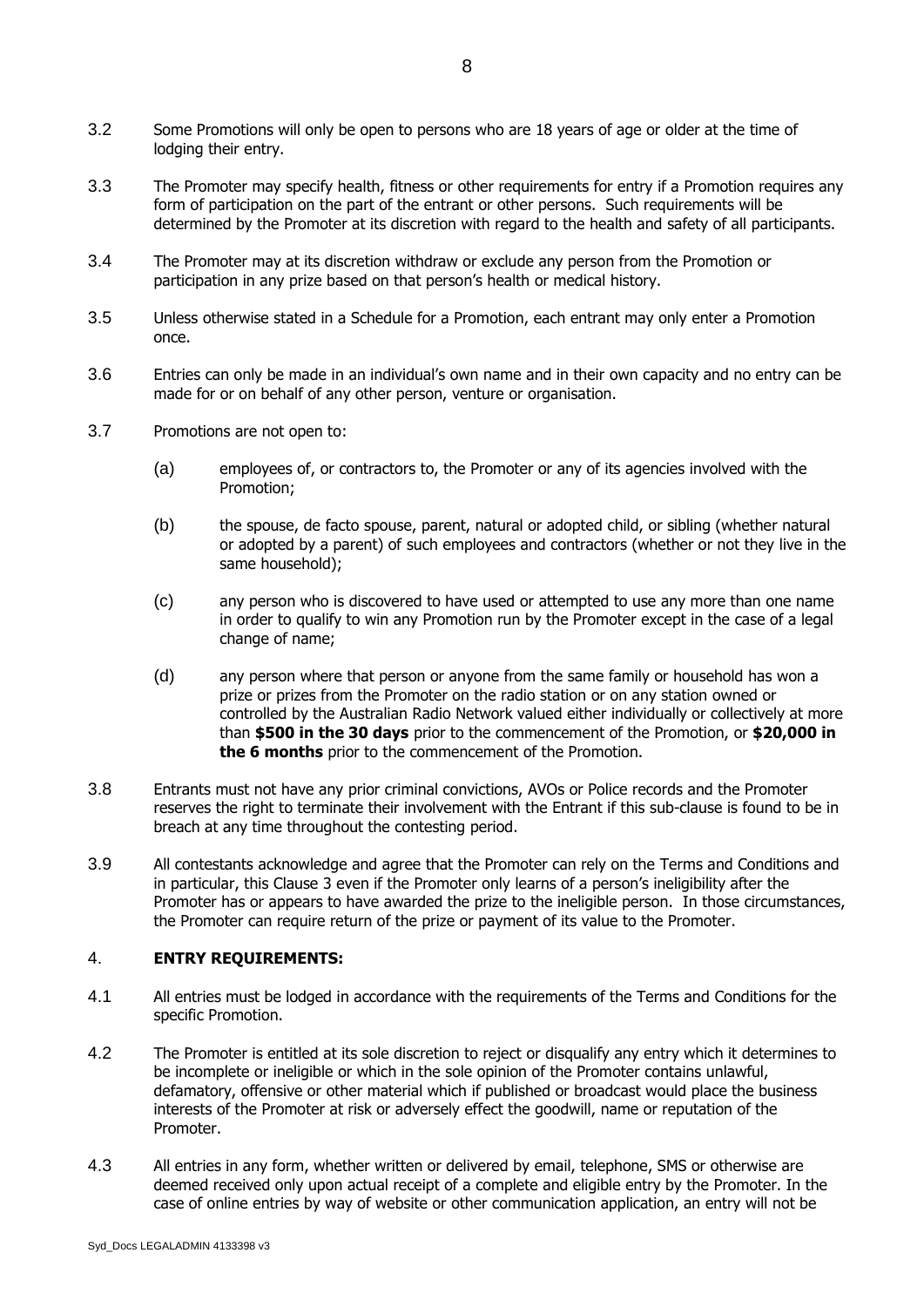- 3.2 Some Promotions will only be open to persons who are 18 years of age or older at the time of lodging their entry.
- 3.3 The Promoter may specify health, fitness or other requirements for entry if a Promotion requires any form of participation on the part of the entrant or other persons. Such requirements will be determined by the Promoter at its discretion with regard to the health and safety of all participants.
- 3.4 The Promoter may at its discretion withdraw or exclude any person from the Promotion or participation in any prize based on that person's health or medical history.
- 3.5 Unless otherwise stated in a Schedule for a Promotion, each entrant may only enter a Promotion once.
- 3.6 Entries can only be made in an individual's own name and in their own capacity and no entry can be made for or on behalf of any other person, venture or organisation.
- 3.7 Promotions are not open to:
	- (a) employees of, or contractors to, the Promoter or any of its agencies involved with the Promotion;
	- (b) the spouse, de facto spouse, parent, natural or adopted child, or sibling (whether natural or adopted by a parent) of such employees and contractors (whether or not they live in the same household);
	- (c) any person who is discovered to have used or attempted to use any more than one name in order to qualify to win any Promotion run by the Promoter except in the case of a legal change of name;
	- (d) any person where that person or anyone from the same family or household has won a prize or prizes from the Promoter on the radio station or on any station owned or controlled by the Australian Radio Network valued either individually or collectively at more than **\$500 in the 30 days** prior to the commencement of the Promotion, or **\$20,000 in the 6 months** prior to the commencement of the Promotion.
- 3.8 Entrants must not have any prior criminal convictions, AVOs or Police records and the Promoter reserves the right to terminate their involvement with the Entrant if this sub-clause is found to be in breach at any time throughout the contesting period.
- 3.9 All contestants acknowledge and agree that the Promoter can rely on the Terms and Conditions and in particular, this Clause 3 even if the Promoter only learns of a person's ineligibility after the Promoter has or appears to have awarded the prize to the ineligible person. In those circumstances, the Promoter can require return of the prize or payment of its value to the Promoter.

#### 4. **ENTRY REQUIREMENTS:**

- 4.1 All entries must be lodged in accordance with the requirements of the Terms and Conditions for the specific Promotion.
- 4.2 The Promoter is entitled at its sole discretion to reject or disqualify any entry which it determines to be incomplete or ineligible or which in the sole opinion of the Promoter contains unlawful, defamatory, offensive or other material which if published or broadcast would place the business interests of the Promoter at risk or adversely effect the goodwill, name or reputation of the Promoter.
- 4.3 All entries in any form, whether written or delivered by email, telephone, SMS or otherwise are deemed received only upon actual receipt of a complete and eligible entry by the Promoter. In the case of online entries by way of website or other communication application, an entry will not be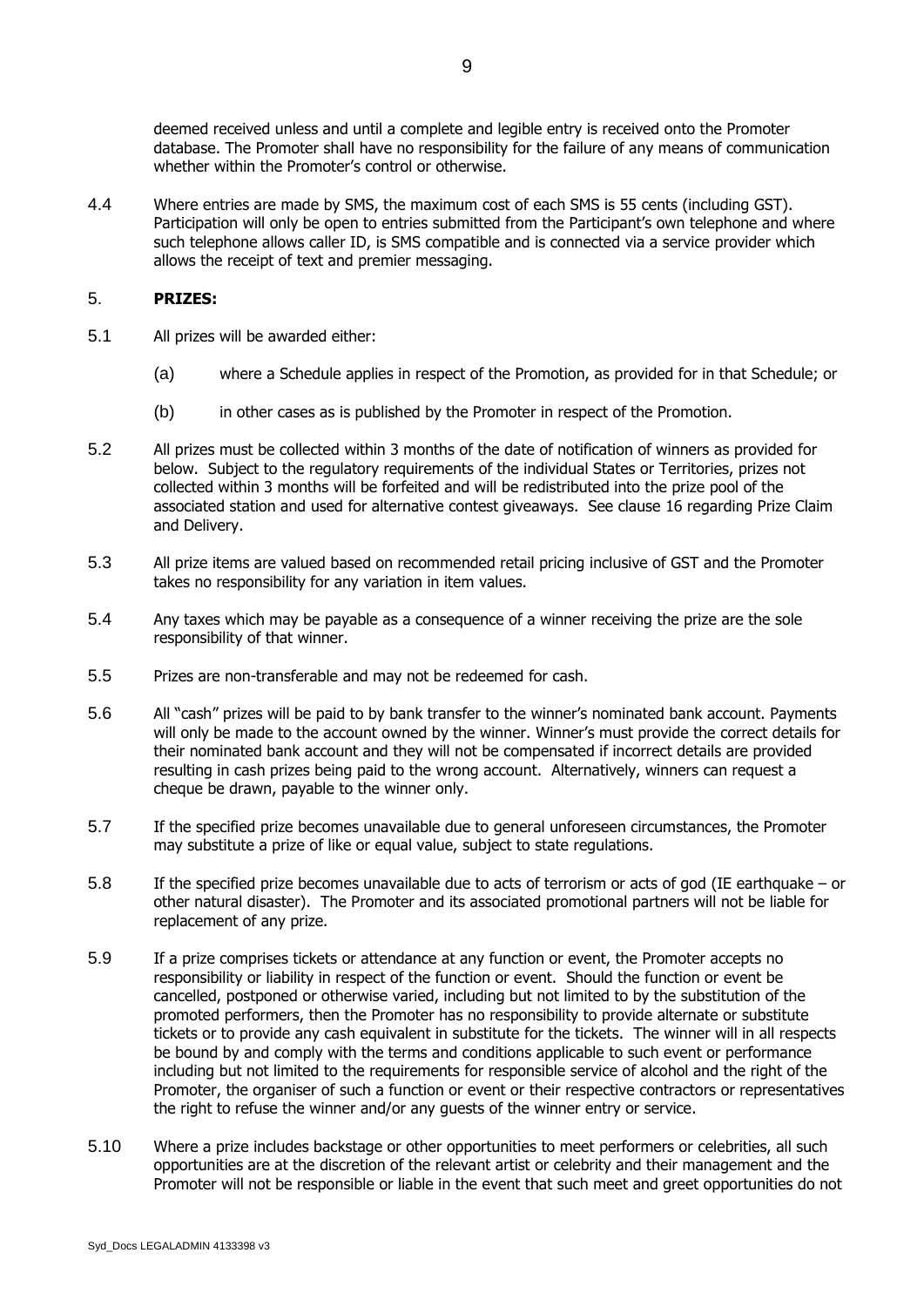deemed received unless and until a complete and legible entry is received onto the Promoter database. The Promoter shall have no responsibility for the failure of any means of communication whether within the Promoter's control or otherwise.

4.4 Where entries are made by SMS, the maximum cost of each SMS is 55 cents (including GST). Participation will only be open to entries submitted from the Participant's own telephone and where such telephone allows caller ID, is SMS compatible and is connected via a service provider which allows the receipt of text and premier messaging.

#### 5. **PRIZES:**

- 5.1 All prizes will be awarded either:
	- (a) where a Schedule applies in respect of the Promotion, as provided for in that Schedule; or
	- (b) in other cases as is published by the Promoter in respect of the Promotion.
- 5.2 All prizes must be collected within 3 months of the date of notification of winners as provided for below. Subject to the regulatory requirements of the individual States or Territories, prizes not collected within 3 months will be forfeited and will be redistributed into the prize pool of the associated station and used for alternative contest giveaways. See clause 16 regarding Prize Claim and Delivery.
- 5.3 All prize items are valued based on recommended retail pricing inclusive of GST and the Promoter takes no responsibility for any variation in item values.
- 5.4 Any taxes which may be payable as a consequence of a winner receiving the prize are the sole responsibility of that winner.
- 5.5 Prizes are non-transferable and may not be redeemed for cash.
- 5.6 All "cash" prizes will be paid to by bank transfer to the winner's nominated bank account. Payments will only be made to the account owned by the winner. Winner's must provide the correct details for their nominated bank account and they will not be compensated if incorrect details are provided resulting in cash prizes being paid to the wrong account. Alternatively, winners can request a cheque be drawn, payable to the winner only.
- 5.7 If the specified prize becomes unavailable due to general unforeseen circumstances, the Promoter may substitute a prize of like or equal value, subject to state regulations.
- 5.8 If the specified prize becomes unavailable due to acts of terrorism or acts of god (IE earthquake or other natural disaster). The Promoter and its associated promotional partners will not be liable for replacement of any prize.
- 5.9 If a prize comprises tickets or attendance at any function or event, the Promoter accepts no responsibility or liability in respect of the function or event. Should the function or event be cancelled, postponed or otherwise varied, including but not limited to by the substitution of the promoted performers, then the Promoter has no responsibility to provide alternate or substitute tickets or to provide any cash equivalent in substitute for the tickets. The winner will in all respects be bound by and comply with the terms and conditions applicable to such event or performance including but not limited to the requirements for responsible service of alcohol and the right of the Promoter, the organiser of such a function or event or their respective contractors or representatives the right to refuse the winner and/or any guests of the winner entry or service.
- 5.10 Where a prize includes backstage or other opportunities to meet performers or celebrities, all such opportunities are at the discretion of the relevant artist or celebrity and their management and the Promoter will not be responsible or liable in the event that such meet and greet opportunities do not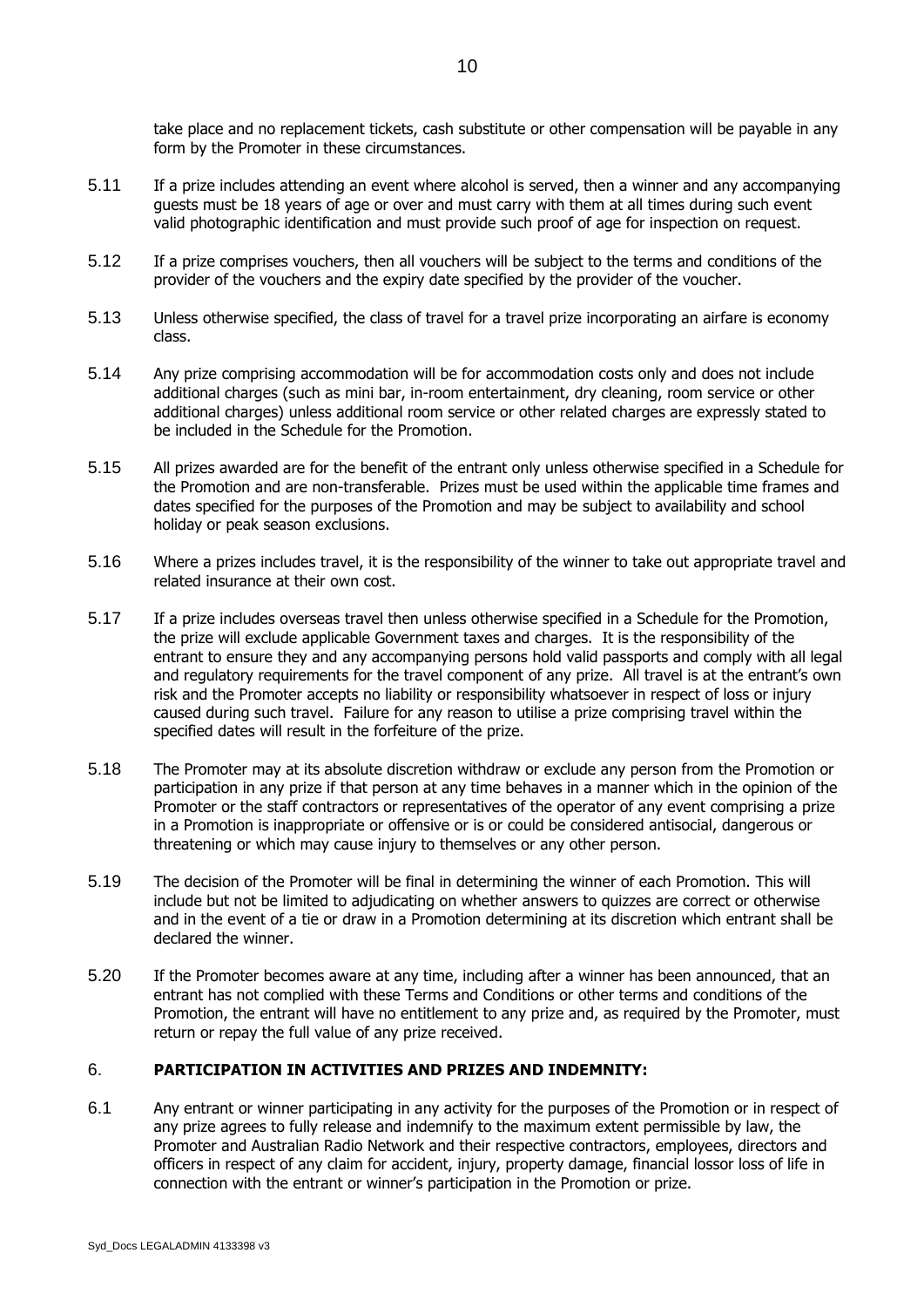take place and no replacement tickets, cash substitute or other compensation will be payable in any form by the Promoter in these circumstances.

- 5.11 If a prize includes attending an event where alcohol is served, then a winner and any accompanying guests must be 18 years of age or over and must carry with them at all times during such event valid photographic identification and must provide such proof of age for inspection on request.
- 5.12 If a prize comprises vouchers, then all vouchers will be subject to the terms and conditions of the provider of the vouchers and the expiry date specified by the provider of the voucher.
- 5.13 Unless otherwise specified, the class of travel for a travel prize incorporating an airfare is economy class.
- 5.14 Any prize comprising accommodation will be for accommodation costs only and does not include additional charges (such as mini bar, in-room entertainment, dry cleaning, room service or other additional charges) unless additional room service or other related charges are expressly stated to be included in the Schedule for the Promotion.
- 5.15 All prizes awarded are for the benefit of the entrant only unless otherwise specified in a Schedule for the Promotion and are non-transferable. Prizes must be used within the applicable time frames and dates specified for the purposes of the Promotion and may be subject to availability and school holiday or peak season exclusions.
- 5.16 Where a prizes includes travel, it is the responsibility of the winner to take out appropriate travel and related insurance at their own cost.
- 5.17 If a prize includes overseas travel then unless otherwise specified in a Schedule for the Promotion, the prize will exclude applicable Government taxes and charges. It is the responsibility of the entrant to ensure they and any accompanying persons hold valid passports and comply with all legal and regulatory requirements for the travel component of any prize. All travel is at the entrant's own risk and the Promoter accepts no liability or responsibility whatsoever in respect of loss or injury caused during such travel. Failure for any reason to utilise a prize comprising travel within the specified dates will result in the forfeiture of the prize.
- 5.18 The Promoter may at its absolute discretion withdraw or exclude any person from the Promotion or participation in any prize if that person at any time behaves in a manner which in the opinion of the Promoter or the staff contractors or representatives of the operator of any event comprising a prize in a Promotion is inappropriate or offensive or is or could be considered antisocial, dangerous or threatening or which may cause injury to themselves or any other person.
- 5.19 The decision of the Promoter will be final in determining the winner of each Promotion. This will include but not be limited to adjudicating on whether answers to quizzes are correct or otherwise and in the event of a tie or draw in a Promotion determining at its discretion which entrant shall be declared the winner.
- 5.20 If the Promoter becomes aware at any time, including after a winner has been announced, that an entrant has not complied with these Terms and Conditions or other terms and conditions of the Promotion, the entrant will have no entitlement to any prize and, as required by the Promoter, must return or repay the full value of any prize received.

#### 6. **PARTICIPATION IN ACTIVITIES AND PRIZES AND INDEMNITY:**

<span id="page-9-0"></span>6.1 Any entrant or winner participating in any activity for the purposes of the Promotion or in respect of any prize agrees to fully release and indemnify to the maximum extent permissible by law, the Promoter and Australian Radio Network and their respective contractors, employees, directors and officers in respect of any claim for accident, injury, property damage, financial lossor loss of life in connection with the entrant or winner's participation in the Promotion or prize.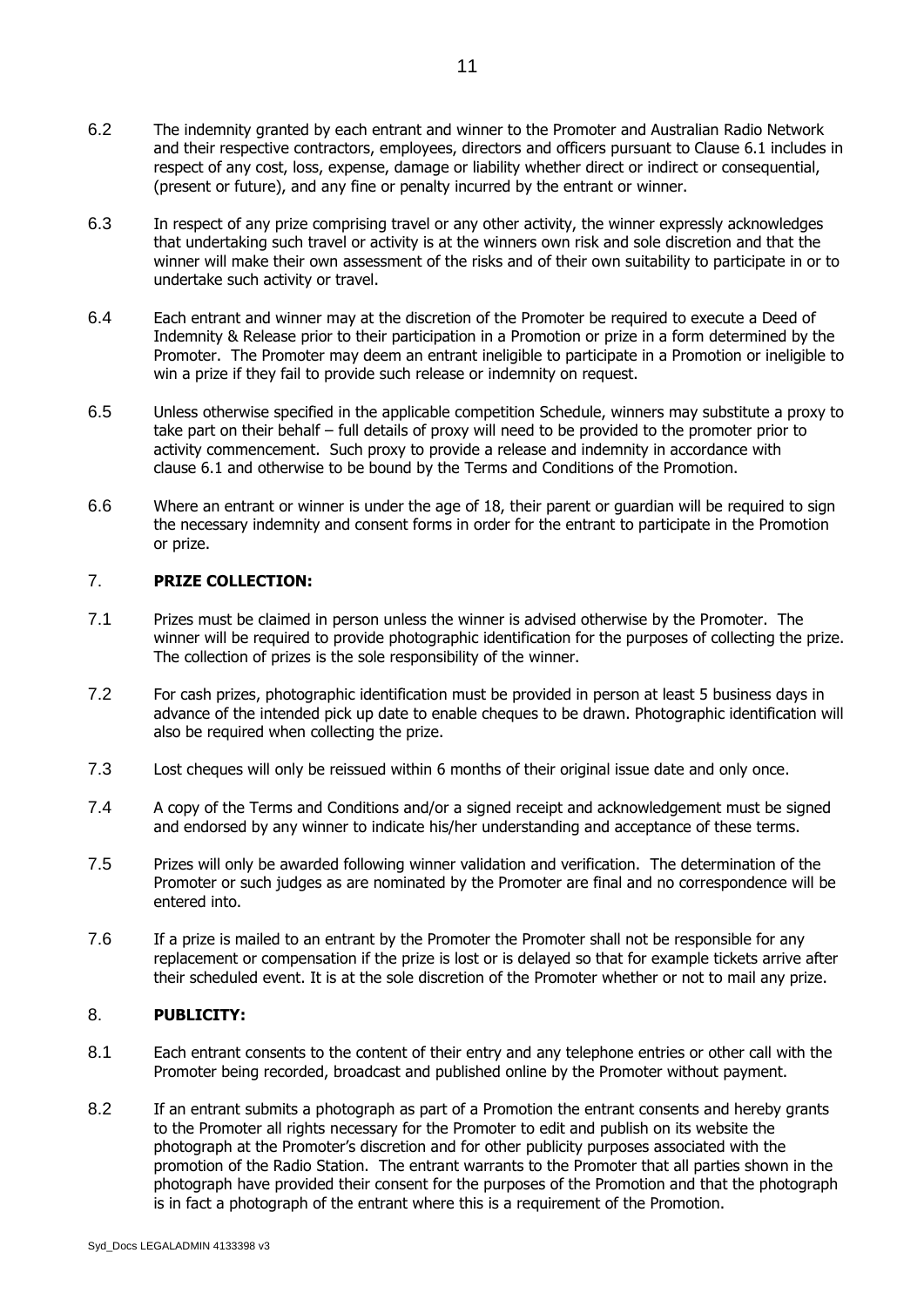- 6.2 The indemnity granted by each entrant and winner to the Promoter and Australian Radio Network and their respective contractors, employees, directors and officers pursuant to Clause 6.1 includes in respect of any cost, loss, expense, damage or liability whether direct or indirect or consequential, (present or future), and any fine or penalty incurred by the entrant or winner.
- 6.3 In respect of any prize comprising travel or any other activity, the winner expressly acknowledges that undertaking such travel or activity is at the winners own risk and sole discretion and that the winner will make their own assessment of the risks and of their own suitability to participate in or to undertake such activity or travel.
- 6.4 Each entrant and winner may at the discretion of the Promoter be required to execute a Deed of Indemnity & Release prior to their participation in a Promotion or prize in a form determined by the Promoter. The Promoter may deem an entrant ineligible to participate in a Promotion or ineligible to win a prize if they fail to provide such release or indemnity on request.
- 6.5 Unless otherwise specified in the applicable competition Schedule, winners may substitute a proxy to take part on their behalf – full details of proxy will need to be provided to the promoter prior to activity commencement. Such proxy to provide a release and indemnity in accordance with clause [6.1](#page-9-0) and otherwise to be bound by the Terms and Conditions of the Promotion.
- 6.6 Where an entrant or winner is under the age of 18, their parent or guardian will be required to sign the necessary indemnity and consent forms in order for the entrant to participate in the Promotion or prize.

#### 7. **PRIZE COLLECTION:**

- 7.1 Prizes must be claimed in person unless the winner is advised otherwise by the Promoter. The winner will be required to provide photographic identification for the purposes of collecting the prize. The collection of prizes is the sole responsibility of the winner.
- 7.2 For cash prizes, photographic identification must be provided in person at least 5 business days in advance of the intended pick up date to enable cheques to be drawn. Photographic identification will also be required when collecting the prize.
- 7.3 Lost cheques will only be reissued within 6 months of their original issue date and only once.
- 7.4 A copy of the Terms and Conditions and/or a signed receipt and acknowledgement must be signed and endorsed by any winner to indicate his/her understanding and acceptance of these terms.
- 7.5 Prizes will only be awarded following winner validation and verification. The determination of the Promoter or such judges as are nominated by the Promoter are final and no correspondence will be entered into.
- 7.6 If a prize is mailed to an entrant by the Promoter the Promoter shall not be responsible for any replacement or compensation if the prize is lost or is delayed so that for example tickets arrive after their scheduled event. It is at the sole discretion of the Promoter whether or not to mail any prize.

#### 8. **PUBLICITY:**

- 8.1 Each entrant consents to the content of their entry and any telephone entries or other call with the Promoter being recorded, broadcast and published online by the Promoter without payment.
- 8.2 If an entrant submits a photograph as part of a Promotion the entrant consents and hereby grants to the Promoter all rights necessary for the Promoter to edit and publish on its website the photograph at the Promoter's discretion and for other publicity purposes associated with the promotion of the Radio Station. The entrant warrants to the Promoter that all parties shown in the photograph have provided their consent for the purposes of the Promotion and that the photograph is in fact a photograph of the entrant where this is a requirement of the Promotion.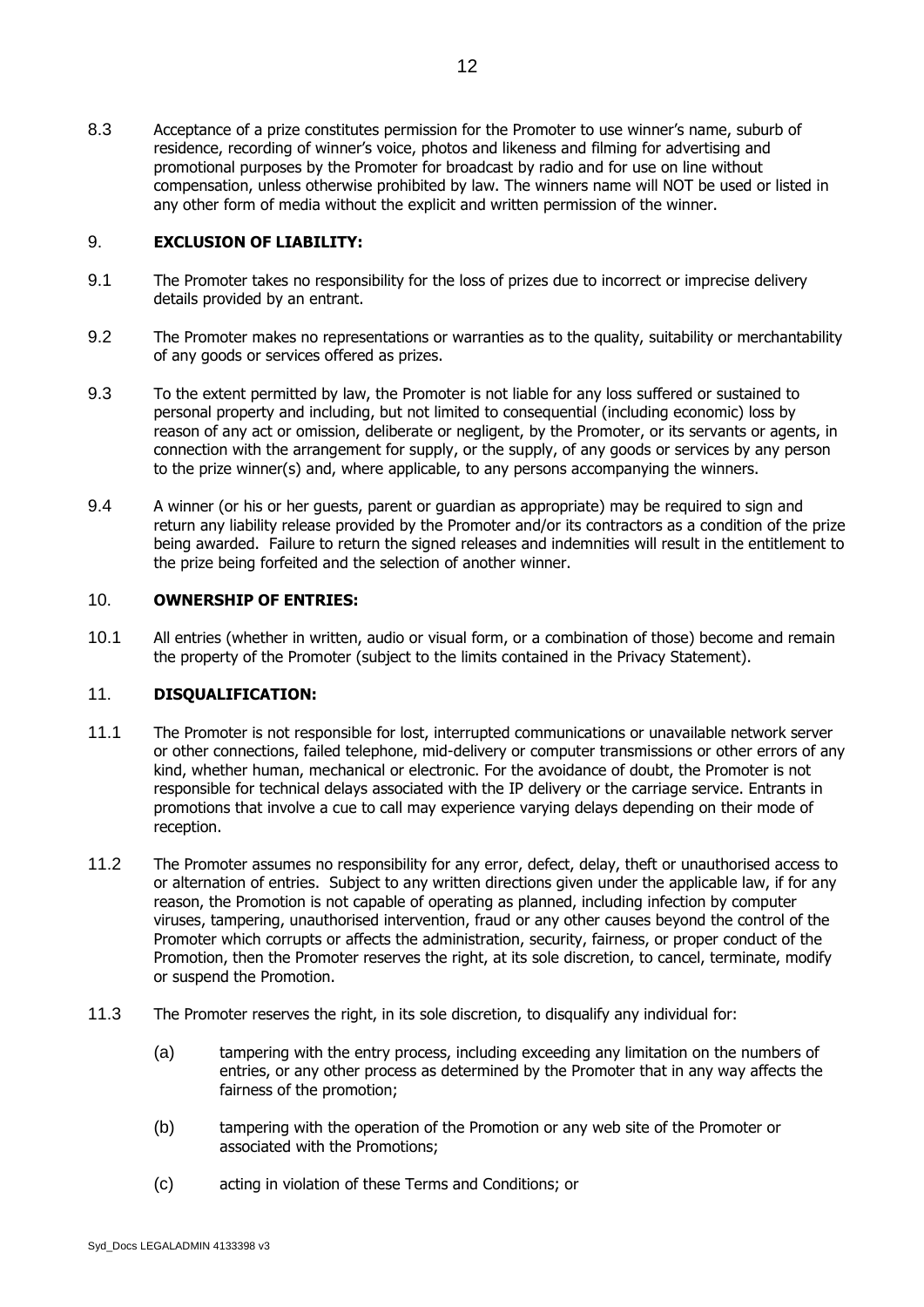8.3 Acceptance of a prize constitutes permission for the Promoter to use winner's name, suburb of residence, recording of winner's voice, photos and likeness and filming for advertising and promotional purposes by the Promoter for broadcast by radio and for use on line without compensation, unless otherwise prohibited by law. The winners name will NOT be used or listed in any other form of media without the explicit and written permission of the winner.

#### 9. **EXCLUSION OF LIABILITY:**

- 9.1 The Promoter takes no responsibility for the loss of prizes due to incorrect or imprecise delivery details provided by an entrant.
- 9.2 The Promoter makes no representations or warranties as to the quality, suitability or merchantability of any goods or services offered as prizes.
- 9.3 To the extent permitted by law, the Promoter is not liable for any loss suffered or sustained to personal property and including, but not limited to consequential (including economic) loss by reason of any act or omission, deliberate or negligent, by the Promoter, or its servants or agents, in connection with the arrangement for supply, or the supply, of any goods or services by any person to the prize winner(s) and, where applicable, to any persons accompanying the winners.
- 9.4 A winner (or his or her guests, parent or guardian as appropriate) may be required to sign and return any liability release provided by the Promoter and/or its contractors as a condition of the prize being awarded. Failure to return the signed releases and indemnities will result in the entitlement to the prize being forfeited and the selection of another winner.

#### 10. **OWNERSHIP OF ENTRIES:**

10.1 All entries (whether in written, audio or visual form, or a combination of those) become and remain the property of the Promoter (subject to the limits contained in the Privacy Statement).

#### 11. **DISQUALIFICATION:**

- 11.1 The Promoter is not responsible for lost, interrupted communications or unavailable network server or other connections, failed telephone, mid-delivery or computer transmissions or other errors of any kind, whether human, mechanical or electronic. For the avoidance of doubt, the Promoter is not responsible for technical delays associated with the IP delivery or the carriage service. Entrants in promotions that involve a cue to call may experience varying delays depending on their mode of reception.
- 11.2 The Promoter assumes no responsibility for any error, defect, delay, theft or unauthorised access to or alternation of entries. Subject to any written directions given under the applicable law, if for any reason, the Promotion is not capable of operating as planned, including infection by computer viruses, tampering, unauthorised intervention, fraud or any other causes beyond the control of the Promoter which corrupts or affects the administration, security, fairness, or proper conduct of the Promotion, then the Promoter reserves the right, at its sole discretion, to cancel, terminate, modify or suspend the Promotion.
- 11.3 The Promoter reserves the right, in its sole discretion, to disqualify any individual for:
	- (a) tampering with the entry process, including exceeding any limitation on the numbers of entries, or any other process as determined by the Promoter that in any way affects the fairness of the promotion;
	- (b) tampering with the operation of the Promotion or any web site of the Promoter or associated with the Promotions;
	- (c) acting in violation of these Terms and Conditions; or